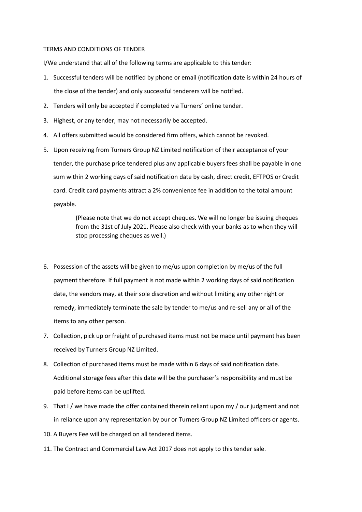## TERMS AND CONDITIONS OF TENDER

I/We understand that all of the following terms are applicable to this tender:

- 1. Successful tenders will be notified by phone or email (notification date is within 24 hours of the close of the tender) and only successful tenderers will be notified.
- 2. Tenders will only be accepted if completed via Turners' online tender.
- 3. Highest, or any tender, may not necessarily be accepted.
- 4. All offers submitted would be considered firm offers, which cannot be revoked.
- 5. Upon receiving from Turners Group NZ Limited notification of their acceptance of your tender, the purchase price tendered plus any applicable buyers fees shall be payable in one sum within 2 working days of said notification date by cash, direct credit, EFTPOS or Credit card. Credit card payments attract a 2% convenience fee in addition to the total amount payable.

(Please note that we do not accept cheques. We will no longer be issuing cheques from the 31st of July 2021. Please also check with your banks as to when they will stop processing cheques as well.)

- 6. Possession of the assets will be given to me/us upon completion by me/us of the full payment therefore. If full payment is not made within 2 working days of said notification date, the vendors may, at their sole discretion and without limiting any other right or remedy, immediately terminate the sale by tender to me/us and re-sell any or all of the items to any other person.
- 7. Collection, pick up or freight of purchased items must not be made until payment has been received by Turners Group NZ Limited.
- 8. Collection of purchased items must be made within 6 days of said notification date. Additional storage fees after this date will be the purchaser's responsibility and must be paid before items can be uplifted.
- 9. That I / we have made the offer contained therein reliant upon my / our judgment and not in reliance upon any representation by our or Turners Group NZ Limited officers or agents.
- 10. A Buyers Fee will be charged on all tendered items.
- 11. The Contract and Commercial Law Act 2017 does not apply to this tender sale.